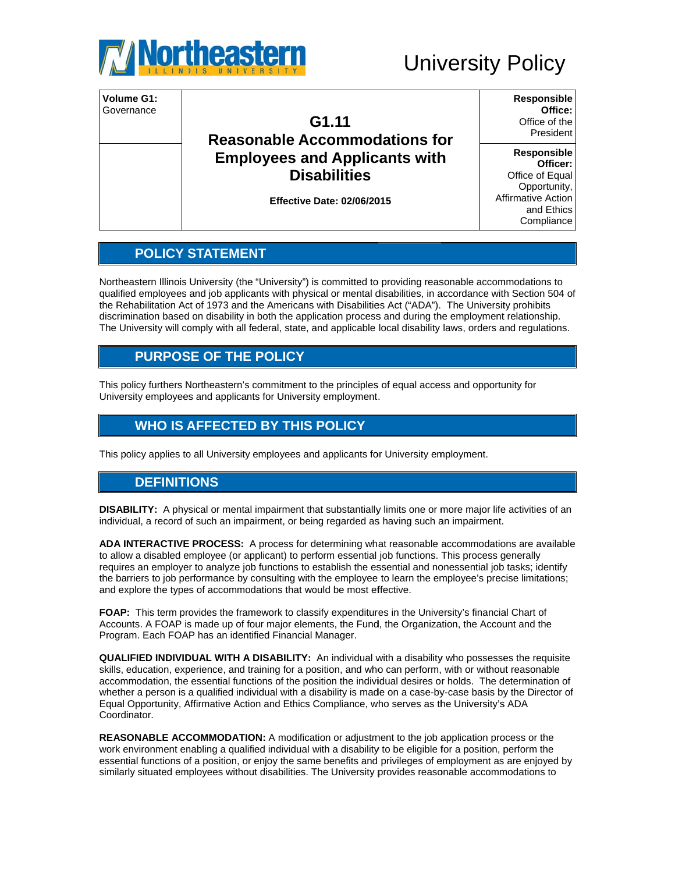

# **University Policy**



# **POLICY STATEMENT**

Northeastern Illinois University (the "University") is committed to providing reasonable accommodations to qualified employees and job applicants with physical or mental disabilities, in accordance with Section 504 of the Rehabilitation Act of 1973 and the Americans with Disabilities Act ("ADA"). The University prohibits discrimination based on disability in both the application process and during the employment relationship. The University will comply with all federal, state, and applicable local disability laws, orders and regulations.

# **PURPOSE OF THE POLICY**

This policy furthers Northeastern's commitment to the principles of equal access and opportunity for University employees and applicants for University employment.

# **WHO IS AFFECTED BY THIS POLICY**

This policy applies to all University employees and applicants for University employment.

# **DEFINITIONS**

DISABILITY: A physical or mental impairment that substantially limits one or more major life activities of an individual, a record of such an impairment, or being regarded as having such an impairment.

ADA INTERACTIVE PROCESS: A process for determining what reasonable accommodations are available to allow a disabled employee (or applicant) to perform essential job functions. This process generally requires an employer to analyze job functions to establish the essential and nonessential job tasks; identify the barriers to job performance by consulting with the employee to learn the employee's precise limitations; and explore the types of accommodations that would be most effective.

FOAP: This term provides the framework to classify expenditures in the University's financial Chart of Accounts. A FOAP is made up of four major elements, the Fund, the Organization, the Account and the Program. Each FOAP has an identified Financial Manager.

**QUALIFIED INDIVIDUAL WITH A DISABILITY:** An individual with a disability who possesses the requisite skills, education, experience, and training for a position, and who can perform, with or without reasonable accommodation, the essential functions of the position the individual desires or holds. The determination of whether a person is a qualified individual with a disability is made on a case-by-case basis by the Director of Equal Opportunity, Affirmative Action and Ethics Compliance, who serves as the University's ADA Coordinator.

REASONABLE ACCOMMODATION: A modification or adjustment to the job application process or the work environment enabling a qualified individual with a disability to be eligible for a position, perform the essential functions of a position, or enjoy the same benefits and privileges of employment as are enjoyed by similarly situated employees without disabilities. The University provides reasonable accommodations to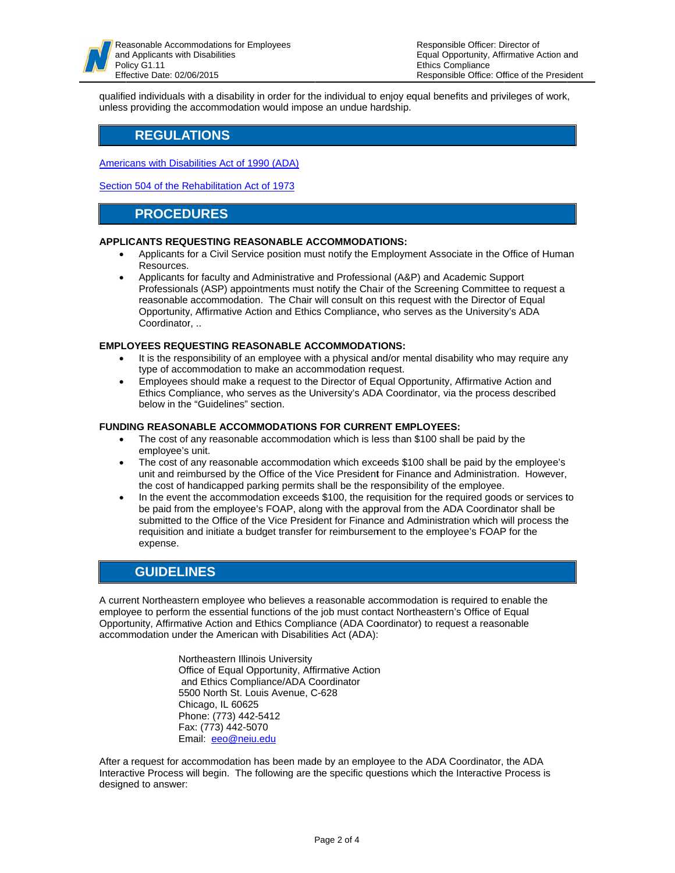qualified individuals with a disability in order for the individual to enjoy equal benefits and privileges of work, unless providing the accommodation would impose an undue hardship.

## **REGULATIONS**

Americans with Disabilities Act of 1990 (ADA)

Section 504 of the Rehabilitation Act of 1973

## **PROCEDURES**

#### **APPLICANTS REQUESTING REASONABLE ACCOMMODATIONS:**

- Applicants for a Civil Service position must notify the Employment Associate in the Office of Human Resources.
- Applicants for faculty and Administrative and Professional (A&P) and Academic Support  $\bullet$ Professionals (ASP) appointments must notify the Chair of the Screening Committee to request a reasonable accommodation. The Chair will consult on this request with the Director of Equal Opportunity, Affirmative Action and Ethics Compliance, who serves as the University's ADA Coordinator, ..

#### **EMPLOYEES REQUESTING REASONABLE ACCOMMODATIONS:**

- It is the responsibility of an employee with a physical and/or mental disability who may require any type of accommodation to make an accommodation request.
- Employees should make a request to the Director of Equal Opportunity, Affirmative Action and Ethics Compliance, who serves as the University's ADA Coordinator, via the process described below in the "Guidelines" section.

#### **FUNDING REASONABLE ACCOMMODATIONS FOR CURRENT EMPLOYEES:**

- The cost of any reasonable accommodation which is less than \$100 shall be paid by the employee's unit.
- The cost of any reasonable accommodation which exceeds \$100 shall be paid by the employee's  $\bullet$ unit and reimbursed by the Office of the Vice President for Finance and Administration. However, the cost of handicapped parking permits shall be the responsibility of the employee.
- In the event the accommodation exceeds \$100, the requisition for the required goods or services to be paid from the employee's FOAP, along with the approval from the ADA Coordinator shall be submitted to the Office of the Vice President for Finance and Administration which will process the requisition and initiate a budget transfer for reimbursement to the employee's FOAP for the expense.

## **GUIDELINES**

A current Northeastern employee who believes a reasonable accommodation is required to enable the employee to perform the essential functions of the job must contact Northeastern's Office of Equal Opportunity, Affirmative Action and Ethics Compliance (ADA Coordinator) to request a reasonable accommodation under the American with Disabilities Act (ADA):

> Northeastern Illinois University Office of Equal Opportunity, Affirmative Action and Ethics Compliance/ADA Coordinator 5500 North St. Louis Avenue, C-628 Chicago, IL 60625 Phone: (773) 442-5412 Fax: (773) 442-5070 Email: eeo@neiu.edu

After a request for accommodation has been made by an employee to the ADA Coordinator, the ADA Interactive Process will begin. The following are the specific questions which the Interactive Process is designed to answer: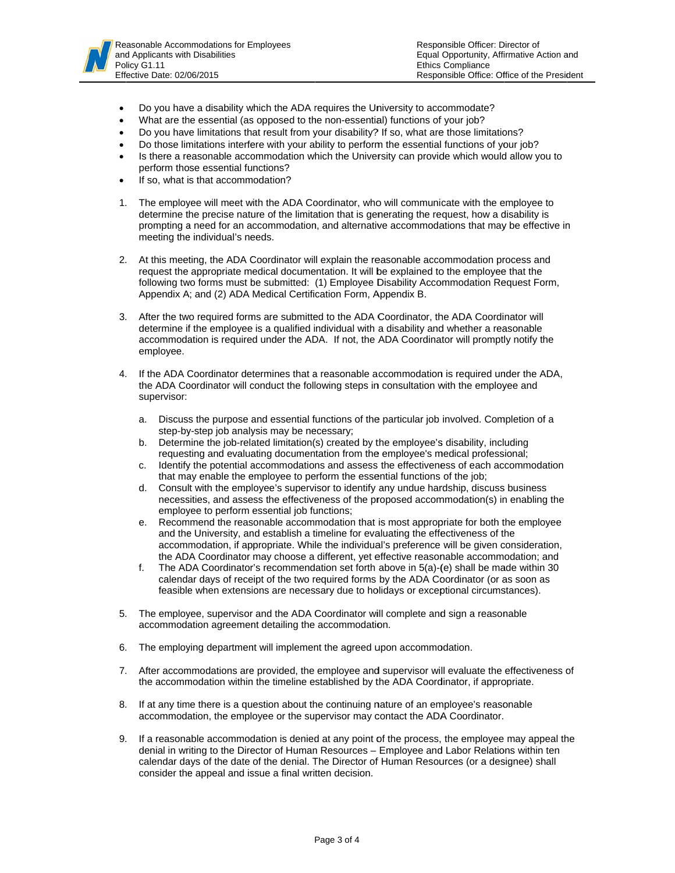

- $\bullet$ Do you have a disability which the ADA requires the University to accommodate?
- $\bullet$ What are the essential (as opposed to the non-essential) functions of your job?
- $\bullet$ Do you have limitations that result from your disability? If so, what are those limitations?
- $\bullet$ Do those limitations interfere with your ability to perform the essential functions of your job?
- $\bullet$ Is there a reasonable accommodation which the University can provide which would allow you to perform tho se essential fu nctions?
- $\bullet$ If so, what is that accommodation?
- 1. The employee will meet with the ADA Coordinator, who will communicate with the employee to determine the precise nature of the limitation that is generating the request, how a disability is prompting a need for an accommodation, and alternative accommodations that may be effective in meeting the individual's needs. n<br>of
- 2. At this meeting, the ADA Coordinator will explain the reasonable accommodation process and request the appropriate medical documentation. It will be explained to the employee that the following two forms must be submitted: (1) Employee Disability Accommodation Request Form, Appendix A; and (2) ADA Medical Certification Form, Appendix B.
- 3. After the two required forms are submitted to the ADA Coordinator, the ADA Coordinator will determine if the employee is a qualified individual with a disability and whether a reasonable accommodation is required under the ADA. If not, the ADA Coordinator will promptly notify the employee.
- 4. If the ADA Coordinator determines that a reasonable accommodation is required under the ADA, the ADA Coordinator will conduct the following steps in consultation with the employee and supervisor:
	- a. Discuss the purpose and essential functions of the particular job involved. Completion of a step-by-step job analysis may be necessary;
	- b. Determine the job-related limitation(s) created by the employee's disability, including requesting and evaluating documentation from the employee's medical professional;
	- c. Identify the potential accommodations and assess the effectiveness of each accommodation that may enable the employee to perform the essential functions of the job;
	- d. Consult with the employee's supervisor to identify any undue hardship, discuss business necessities, and assess the effectiveness of the proposed accommodation(s) in enabling the employee to perform essential job functions;
	- e. Recommend the reasonable accommodation that is most appropriate for both the employee and the University, and establish a timeline for evaluating the effectiveness of the accommodation, if appropriate. While the individual's preference will be given consideration, the ADA Coordinator may choose a different, yet effective reasonable accommodation; and
	- f. The ADA Coordinator's recommendation set forth above in 5(a)-(e) shall be made within 30 calendar days of receipt of the two required forms by the ADA Coordinator (or as soon as feasible when extensions are necessary due to holidays or exceptional circumstances).
- 5. The employee, supervisor and the ADA Coordinator will complete and sign a reasonable accommodation agreement detailing the accommodation.
- 6. The employing department will implement the agreed upon accommodation.
- 7. After accommodations are provided, the employee and supervisor will evaluate the effectiveness o the accommodation within the timeline established by the ADA Coordinator, if appropriate.
- 8. If at any time there is a question about the continuing nature of an employee's reasonable accommodation, the employee or the supervisor may contact the ADA Coordinator.
- 9. If a reasonable accommodation is denied at any point of the process, the employee may appeal the denial in writing to the Director of Human Resources – Employee and Labor Relations within ten calendar days of the date of the denial. The Director of Human Resources (or a designee) shall consider the appeal and issue a final written decision.